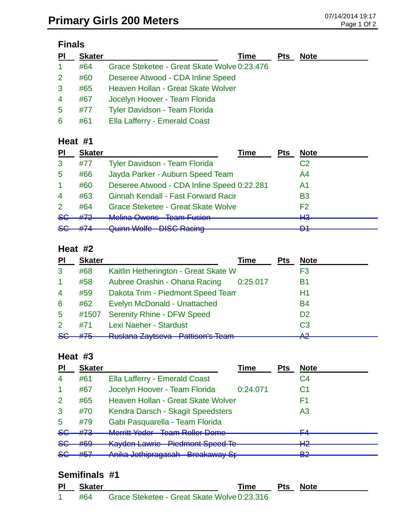# **Finals**

| PI | <b>Skater</b> | Time                                        | <b>Pts</b> | <b>Note</b> |
|----|---------------|---------------------------------------------|------------|-------------|
| -1 | #64           | Grace Steketee - Great Skate Wolve 0:23.476 |            |             |
| 2  | #60           | Deseree Atwood - CDA Inline Speed           |            |             |
| 3  | #65           | Heaven Hollan - Great Skate Wolver          |            |             |
| 4  | #67           | Jocelyn Hoover - Team Florida               |            |             |
| 5  | #77           | <b>Tyler Davidson - Team Florida</b>        |            |             |
| 6  | #61           | Ella Lafferry - Emerald Coast               |            |             |

### **Heat #1**

| PI                   | <b>Skater</b> | Time                                                    | Pts | <b>Note</b>    |
|----------------------|---------------|---------------------------------------------------------|-----|----------------|
| 3                    | #77           | Tyler Davidson - Team Florida                           |     | C <sub>2</sub> |
| 5                    | #66           | Jayda Parker - Auburn Speed Team                        |     | A4             |
| $\blacktriangleleft$ | #60           | Deseree Atwood - CDA Inline Speed 0:22.281              |     | A1             |
| $\overline{4}$       | #63           | <b>Ginnah Kendall - Fast Forward Racir</b>              |     | B <sub>3</sub> |
| $\mathcal{P}$        | #64           | <b>Grace Steketee - Great Skate Wolve</b>               |     | F <sub>2</sub> |
|                      |               | Malina Owane Toam Eucion                                |     | ப்             |
|                      |               |                                                         |     | D1             |
| 86<br>$86$           | #72<br>#74    | <u>ivaliti uoluli</u><br><b>Quinn Wolfe DISC Racing</b> |     | πо             |

#### **Heat #2**

| PI              | <b>Skater</b> | <b>Time</b>                                                 | <b>Pts</b> | <b>Note</b>    |
|-----------------|---------------|-------------------------------------------------------------|------------|----------------|
| 3               | #68           | Kaitlin Hetherington - Great Skate W                        |            | F3             |
| -1              | #58           | Aubree Orashin - Ohana Racing<br>0:25.017                   |            | В1             |
| $\overline{4}$  | #59           | Dakota Trim - Piedmont Speed Team                           |            | H1             |
| 6               | #62           | Evelyn McDonald - Unattached                                |            | <b>B4</b>      |
| $5\phantom{.0}$ | #1507         | <b>Serenity Rhine - DFW Speed</b>                           |            | D <sub>2</sub> |
| 2               | #71           | Lexi Naeher - Stardust                                      |            | C <sub>3</sub> |
| 86              | #75           | <b>Duclara Zauteova Datticon's Toam</b><br>πασιαπα Σαγισσνα |            | ΛΩ<br>ГV       |

#### **Heat #3**

| PI             | <b>Skater</b>          |                                                                               | <b>Time</b> | <b>Pts</b> | <b>Note</b>    |
|----------------|------------------------|-------------------------------------------------------------------------------|-------------|------------|----------------|
| $\overline{4}$ | #61                    | Ella Lafferry - Emerald Coast                                                 |             |            | C4             |
|                | #67                    | Jocelyn Hoover - Team Florida                                                 | 0:24.071    |            | C1             |
| $\overline{2}$ | #65                    | Heaven Hollan - Great Skate Wolver                                            |             |            | F1             |
| 3              | #70                    | Kendra Darsch - Skagit Speedsters                                             |             |            | A <sub>3</sub> |
| 5              | #79                    | Gabi Pasquarella - Team Florida                                               |             |            |                |
| 8 <sub>G</sub> | #73                    | Marritt Vader - Toam Poller Damo<br><u>MUTHU TUUUT</u><br>טוווטע וטווטו ווטטו |             |            | EΛ             |
| <b>SG</b>      | #69                    | <b>Kayden Lawrie - Piedmont Speed Te</b>                                      |             |            | ⊔റ<br>ПС       |
| 8 <sub>G</sub> | HET<br>$\pi\sigma\tau$ | Anika Jothipragasah - Breakaway Sr-                                           |             |            | ∩ם<br>ez       |

### **Semifinals #1**

| ΡI | Skater |                                                 | <b>Time</b> | <b>Pts Note</b> |
|----|--------|-------------------------------------------------|-------------|-----------------|
|    |        | #64 Grace Steketee - Great Skate Wolve 0:23.316 |             |                 |